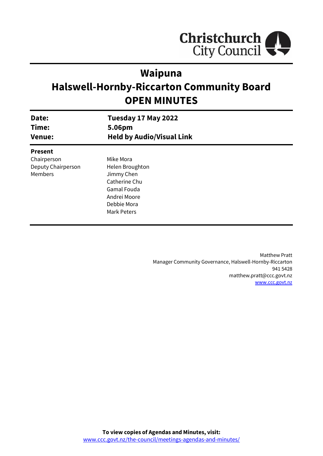

# **Waipuna**

# **Halswell-Hornby-Riccarton Community Board OPEN MINUTES**

| Date:<br>Time:     | Tuesday 17 May 2022<br>5.06pm    |  |
|--------------------|----------------------------------|--|
| <b>Venue:</b>      | <b>Held by Audio/Visual Link</b> |  |
| <b>Present</b>     |                                  |  |
| Chairperson        | Mike Mora                        |  |
| Deputy Chairperson | Helen Broughton                  |  |
| Members            | Jimmy Chen                       |  |
|                    | Catherine Chu                    |  |
|                    | Gamal Fouda                      |  |
|                    | Andrei Moore                     |  |
|                    | Debbie Mora                      |  |
|                    | Mark Peters                      |  |
|                    |                                  |  |

Matthew Pratt Manager Community Governance, Halswell-Hornby-Riccarton 941 5428 matthew.pratt@ccc.govt.nz [www.ccc.govt.nz](http://www.ccc.govt.nz/)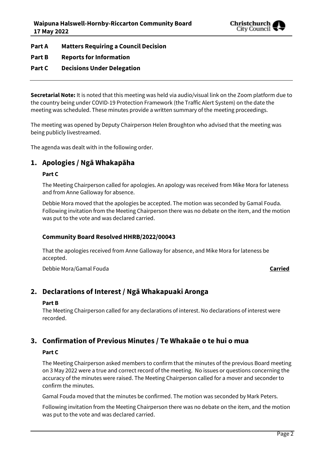

**Part A Matters Requiring a Council Decision**

**Part B Reports for Information**

#### **Part C Decisions Under Delegation**

**Secretarial Note:** It is noted that this meeting was held via audio/visual link on the Zoom platform due to the country being under COVID-19 Protection Framework (the Traffic Alert System) on the date the meeting was scheduled. These minutes provide a written summary of the meeting proceedings.

The meeting was opened by Deputy Chairperson Helen Broughton who advised that the meeting was being publicly livestreamed.

The agenda was dealt with in the following order.

## **1. Apologies / Ngā Whakapāha**

#### **Part C**

The Meeting Chairperson called for apologies. An apology was received from Mike Mora for lateness and from Anne Galloway for absence.

Debbie Mora moved that the apologies be accepted. The motion was seconded by Gamal Fouda. Following invitation from the Meeting Chairperson there was no debate on the item, and the motion was put to the vote and was declared carried.

#### **Community Board Resolved HHRB/2022/00043**

That the apologies received from Anne Galloway for absence, and Mike Mora for lateness be accepted.

Debbie Mora/Gamal Fouda **Carried**

### **2. Declarations of Interest / Ngā Whakapuaki Aronga**

#### **Part B**

The Meeting Chairperson called for any declarations of interest. No declarations of interest were recorded.

### **3. Confirmation of Previous Minutes / Te Whakaāe o te hui o mua**

#### **Part C**

The Meeting Chairperson asked members to confirm that the minutes of the previous Board meeting on 3 May 2022 were a true and correct record of the meeting. No issues or questions concerning the accuracy of the minutes were raised. The Meeting Chairperson called for a mover and seconder to confirm the minutes.

Gamal Fouda moved that the minutes be confirmed. The motion was seconded by Mark Peters.

Following invitation from the Meeting Chairperson there was no debate on the item, and the motion was put to the vote and was declared carried.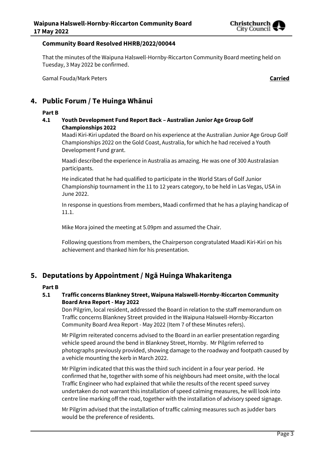

#### **Community Board Resolved HHRB/2022/00044**

That the minutes of the Waipuna Halswell-Hornby-Riccarton Community Board meeting held on Tuesday, 3 May 2022 be confirmed.

Gamal Fouda/Mark Peters **Carried**

# **4. Public Forum / Te Huinga Whānui**

#### **Part B**

**4.1 Youth Development Fund Report Back – Australian Junior Age Group Golf Championships 2022**

Maadi Kiri-Kiri updated the Board on his experience at the Australian Junior Age Group Golf Championships 2022 on the Gold Coast, Australia, for which he had received a Youth Development Fund grant.

Maadi described the experience in Australia as amazing. He was one of 300 Australasian participants.

He indicated that he had qualified to participate in the World Stars of Golf Junior Championship tournament in the 11 to 12 years category, to be held in Las Vegas, USA in June 2022.

In response in questions from members, Maadi confirmed that he has a playing handicap of 11.1.

Mike Mora joined the meeting at 5.09pm and assumed the Chair.

Following questions from members, the Chairperson congratulated Maadi Kiri-Kiri on his achievement and thanked him for his presentation.

# **5. Deputations by Appointment / Ngā Huinga Whakaritenga**

#### **Part B**

#### **5.1 Traffic concerns Blankney Street, Waipuna Halswell-Hornby-Riccarton Community Board Area Report - May 2022**

Don Pilgrim, local resident, addressed the Board in relation to the staff memorandum on Traffic concerns Blankney Street provided in the Waipuna Halswell-Hornby-Riccarton Community Board Area Report - May 2022 (Item 7 of these Minutes refers).

Mr Pilgrim reiterated concerns advised to the Board in an earlier presentation regarding vehicle speed around the bend in Blankney Street, Hornby. Mr Pilgrim referred to photographs previously provided, showing damage to the roadway and footpath caused by a vehicle mounting the kerb in March 2022.

Mr Pilgrim indicated that this was the third such incident in a four year period. He confirmed that he, together with some of his neighbours had meet onsite, with the local Traffic Engineer who had explained that while the results of the recent speed survey undertaken do not warrant this installation of speed calming measures, he will look into centre line marking off the road, together with the installation of advisory speed signage.

Mr Pilgrim advised that the installation of traffic calming measures such as judder bars would be the preference of residents.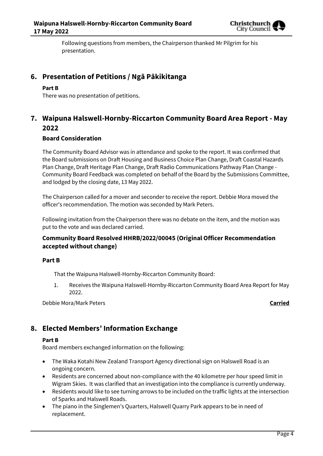

Following questions from members, the Chairperson thanked Mr Pilgrim for his presentation.

# **6. Presentation of Petitions / Ngā Pākikitanga**

#### **Part B**

There was no presentation of petitions.

## **7. Waipuna Halswell-Hornby-Riccarton Community Board Area Report - May 2022**

#### **Board Consideration**

The Community Board Advisor was in attendance and spoke to the report. It was confirmed that the Board submissions on Draft Housing and Business Choice Plan Change, Draft Coastal Hazards Plan Change, Draft Heritage Plan Change, Draft Radio Communications Pathway Plan Change - Community Board Feedback was completed on behalf of the Board by the Submissions Committee, and lodged by the closing date, 13 May 2022.

The Chairperson called for a mover and seconder to receive the report. Debbie Mora moved the officer's recommendation. The motion was seconded by Mark Peters.

Following invitation from the Chairperson there was no debate on the item, and the motion was put to the vote and was declared carried.

#### **Community Board Resolved HHRB/2022/00045 (Original Officer Recommendation accepted without change)**

#### **Part B**

That the Waipuna Halswell-Hornby-Riccarton Community Board:

1. Receives the Waipuna Halswell-Hornby-Riccarton Community Board Area Report for May 2022.

Debbie Mora/Mark Peters **Carried**

# **8. Elected Members' Information Exchange**

#### **Part B**

Board members exchanged information on the following:

- The Waka Kotahi New Zealand Transport Agency directional sign on Halswell Road is an ongoing concern.
- Residents are concerned about non-compliance with the 40 kilometre per hour speed limit in Wigram Skies. It was clarified that an investigation into the compliance is currently underway.
- Residents would like to see turning arrows to be included on the traffic lights at the intersection of Sparks and Halswell Roads.
- The piano in the Singlemen's Quarters, Halswell Quarry Park appears to be in need of replacement.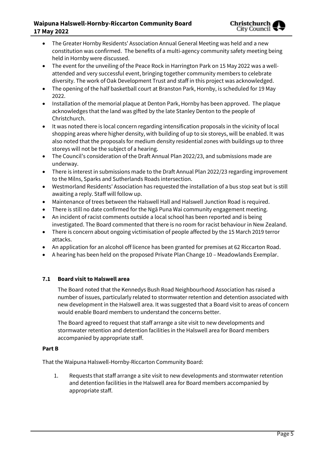#### **Waipuna Halswell-Hornby-Riccarton Community Board 17 May 2022**

- The Greater Hornby Residents' Association Annual General Meeting was held and a new constitution was confirmed. The benefits of a multi-agency community safety meeting being held in Hornby were discussed.
- The event for the unveiling of the Peace Rock in Harrington Park on 15 May 2022 was a wellattended and very successful event, bringing together community members to celebrate diversity. The work of Oak Development Trust and staff in this project was acknowledged.
- The opening of the half basketball court at Branston Park, Hornby, is scheduled for 19 May 2022.
- Installation of the memorial plaque at Denton Park, Hornby has been approved. The plaque acknowledges that the land was gifted by the late Stanley Denton to the people of Christchurch.
- It was noted there is local concern regarding intensification proposals in the vicinity of local shopping areas where higher density, with building of up to six storeys, will be enabled. It was also noted that the proposals for medium density residential zones with buildings up to three storeys will not be the subject of a hearing.
- The Council's consideration of the Draft Annual Plan 2022/23, and submissions made are underway.
- There is interest in submissions made to the Draft Annual Plan 2022/23 regarding improvement to the Milns, Sparks and Sutherlands Roads intersection.
- Westmorland Residents' Association has requested the installation of a bus stop seat but is still awaiting a reply. Staff will follow up.
- Maintenance of trees between the Halswell Hall and Halswell Junction Road is required.
- There is still no date confirmed for the Ngā Puna Wai community engagement meeting.
- An incident of racist comments outside a local school has been reported and is being investigated. The Board commented that there is no room for racist behaviour in New Zealand.
- There is concern about ongoing victimisation of people affected by the 15 March 2019 terror attacks.
- An application for an alcohol off licence has been granted for premises at 62 Riccarton Road.
- A hearing has been held on the proposed Private Plan Change 10 Meadowlands Exemplar.

### **7.1 Board visit to Halswell area**

The Board noted that the Kennedys Bush Road Neighbourhood Association has raised a number of issues, particularly related to stormwater retention and detention associated with new development in the Halswell area. It was suggested that a Board visit to areas of concern would enable Board members to understand the concerns better.

The Board agreed to request that staff arrange a site visit to new developments and stormwater retention and detention facilities in the Halswell area for Board members accompanied by appropriate staff.

#### **Part B**

That the Waipuna Halswell-Hornby-Riccarton Community Board:

1. Requests that staff arrange a site visit to new developments and stormwater retention and detention facilities in the Halswell area for Board members accompanied by appropriate staff.